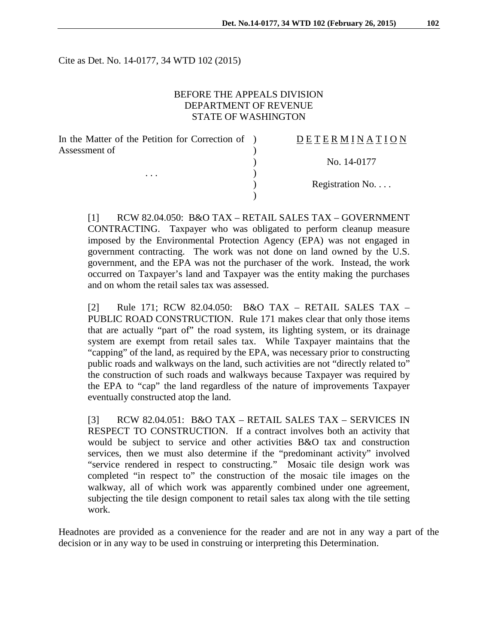Cite as Det. No. 14-0177, 34 WTD 102 (2015)

### BEFORE THE APPEALS DIVISION DEPARTMENT OF REVENUE STATE OF WASHINGTON

| In the Matter of the Petition for Correction of ) |  |
|---------------------------------------------------|--|
| Assessment of                                     |  |
|                                                   |  |
|                                                   |  |
|                                                   |  |

## D E T E R M I N A T I O N

) No. 14-0177

) Registration No. . . .

[1] RCW 82.04.050: B&O TAX – RETAIL SALES TAX – GOVERNMENT CONTRACTING. Taxpayer who was obligated to perform cleanup measure imposed by the Environmental Protection Agency (EPA) was not engaged in government contracting. The work was not done on land owned by the U.S. government, and the EPA was not the purchaser of the work. Instead, the work occurred on Taxpayer's land and Taxpayer was the entity making the purchases and on whom the retail sales tax was assessed.

)

[2] Rule 171; RCW 82.04.050: B&O TAX – RETAIL SALES TAX – PUBLIC ROAD CONSTRUCTION. Rule 171 makes clear that only those items that are actually "part of" the road system, its lighting system, or its drainage system are exempt from retail sales tax. While Taxpayer maintains that the "capping" of the land, as required by the EPA, was necessary prior to constructing public roads and walkways on the land, such activities are not "directly related to" the construction of such roads and walkways because Taxpayer was required by the EPA to "cap" the land regardless of the nature of improvements Taxpayer eventually constructed atop the land.

[3] RCW 82.04.051: B&O TAX – RETAIL SALES TAX – SERVICES IN RESPECT TO CONSTRUCTION. If a contract involves both an activity that would be subject to service and other activities B&O tax and construction services, then we must also determine if the "predominant activity" involved "service rendered in respect to constructing." Mosaic tile design work was completed "in respect to" the construction of the mosaic tile images on the walkway, all of which work was apparently combined under one agreement, subjecting the tile design component to retail sales tax along with the tile setting work.

Headnotes are provided as a convenience for the reader and are not in any way a part of the decision or in any way to be used in construing or interpreting this Determination.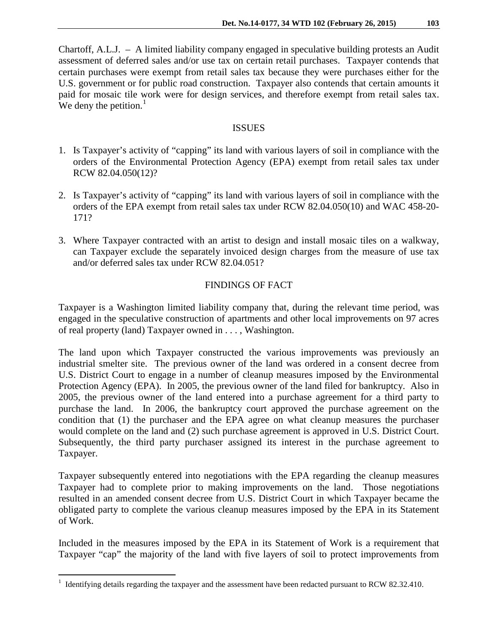Chartoff, A.L.J. – A limited liability company engaged in speculative building protests an Audit assessment of deferred sales and/or use tax on certain retail purchases. Taxpayer contends that certain purchases were exempt from retail sales tax because they were purchases either for the U.S. government or for public road construction. Taxpayer also contends that certain amounts it paid for mosaic tile work were for design services, and therefore exempt from retail sales tax. We deny the petition. $<sup>1</sup>$  $<sup>1</sup>$  $<sup>1</sup>$ </sup>

### ISSUES

- 1. Is Taxpayer's activity of "capping" its land with various layers of soil in compliance with the orders of the Environmental Protection Agency (EPA) exempt from retail sales tax under RCW 82.04.050(12)?
- 2. Is Taxpayer's activity of "capping" its land with various layers of soil in compliance with the orders of the EPA exempt from retail sales tax under RCW 82.04.050(10) and WAC 458-20- 171?
- 3. Where Taxpayer contracted with an artist to design and install mosaic tiles on a walkway, can Taxpayer exclude the separately invoiced design charges from the measure of use tax and/or deferred sales tax under RCW 82.04.051?

## FINDINGS OF FACT

Taxpayer is a Washington limited liability company that, during the relevant time period, was engaged in the speculative construction of apartments and other local improvements on 97 acres of real property (land) Taxpayer owned in . . . , Washington.

The land upon which Taxpayer constructed the various improvements was previously an industrial smelter site. The previous owner of the land was ordered in a consent decree from U.S. District Court to engage in a number of cleanup measures imposed by the Environmental Protection Agency (EPA). In 2005, the previous owner of the land filed for bankruptcy. Also in 2005, the previous owner of the land entered into a purchase agreement for a third party to purchase the land. In 2006, the bankruptcy court approved the purchase agreement on the condition that (1) the purchaser and the EPA agree on what cleanup measures the purchaser would complete on the land and (2) such purchase agreement is approved in U.S. District Court. Subsequently, the third party purchaser assigned its interest in the purchase agreement to Taxpayer.

Taxpayer subsequently entered into negotiations with the EPA regarding the cleanup measures Taxpayer had to complete prior to making improvements on the land. Those negotiations resulted in an amended consent decree from U.S. District Court in which Taxpayer became the obligated party to complete the various cleanup measures imposed by the EPA in its Statement of Work.

Included in the measures imposed by the EPA in its Statement of Work is a requirement that Taxpayer "cap" the majority of the land with five layers of soil to protect improvements from

<span id="page-1-0"></span><sup>&</sup>lt;sup>1</sup> Identifying details regarding the taxpayer and the assessment have been redacted pursuant to RCW 82.32.410.  $\overline{a}$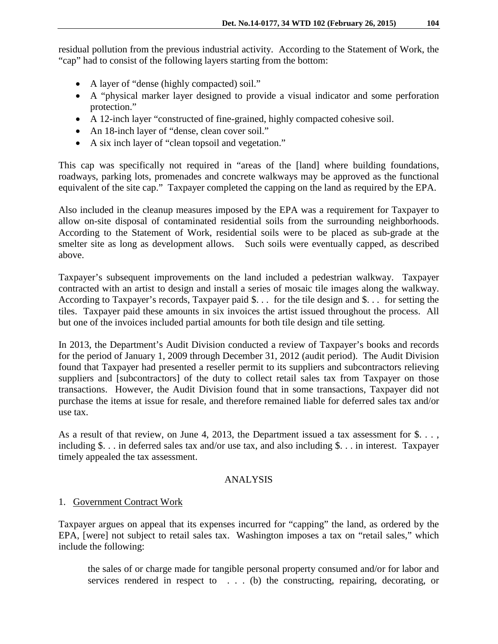residual pollution from the previous industrial activity. According to the Statement of Work, the "cap" had to consist of the following layers starting from the bottom:

- A layer of "dense (highly compacted) soil."
- A "physical marker layer designed to provide a visual indicator and some perforation protection."
- A 12-inch layer "constructed of fine-grained, highly compacted cohesive soil.
- An 18-inch layer of "dense, clean cover soil."
- A six inch layer of "clean topsoil and vegetation."

This cap was specifically not required in "areas of the [land] where building foundations, roadways, parking lots, promenades and concrete walkways may be approved as the functional equivalent of the site cap." Taxpayer completed the capping on the land as required by the EPA.

Also included in the cleanup measures imposed by the EPA was a requirement for Taxpayer to allow on-site disposal of contaminated residential soils from the surrounding neighborhoods. According to the Statement of Work, residential soils were to be placed as sub-grade at the smelter site as long as development allows. Such soils were eventually capped, as described above.

Taxpayer's subsequent improvements on the land included a pedestrian walkway. Taxpayer contracted with an artist to design and install a series of mosaic tile images along the walkway. According to Taxpayer's records, Taxpayer paid \$. . . for the tile design and \$. . . for setting the tiles. Taxpayer paid these amounts in six invoices the artist issued throughout the process. All but one of the invoices included partial amounts for both tile design and tile setting.

In 2013, the Department's Audit Division conducted a review of Taxpayer's books and records for the period of January 1, 2009 through December 31, 2012 (audit period). The Audit Division found that Taxpayer had presented a reseller permit to its suppliers and subcontractors relieving suppliers and [subcontractors] of the duty to collect retail sales tax from Taxpayer on those transactions. However, the Audit Division found that in some transactions, Taxpayer did not purchase the items at issue for resale, and therefore remained liable for deferred sales tax and/or use tax.

As a result of that review, on June 4, 2013, the Department issued a tax assessment for \$... including \$. . . in deferred sales tax and/or use tax, and also including \$. . . in interest. Taxpayer timely appealed the tax assessment.

# ANALYSIS

# 1. Government Contract Work

Taxpayer argues on appeal that its expenses incurred for "capping" the land, as ordered by the EPA, [were] not subject to retail sales tax. Washington imposes a tax on "retail sales," which include the following:

the sales of or charge made for tangible personal property consumed and/or for labor and services rendered in respect to . . . (b) the constructing, repairing, decorating, or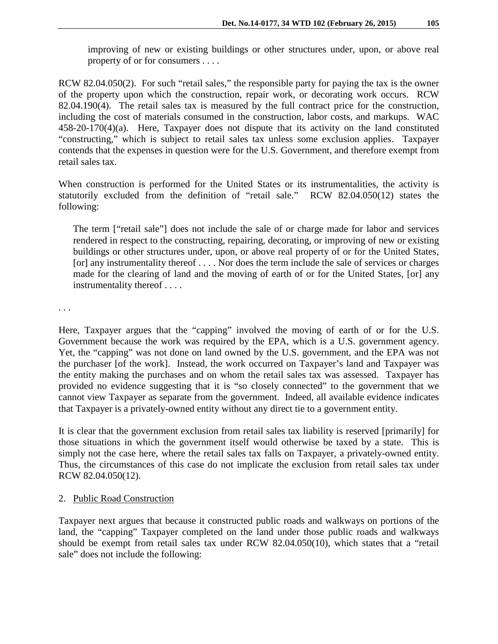improving of new or existing buildings or other structures under, upon, or above real property of or for consumers . . . .

RCW 82.04.050(2). For such "retail sales," the responsible party for paying the tax is the owner of the property upon which the construction, repair work, or decorating work occurs. RCW 82.04.190(4). The retail sales tax is measured by the full contract price for the construction, including the cost of materials consumed in the construction, labor costs, and markups. WAC 458-20-170(4)(a). Here, Taxpayer does not dispute that its activity on the land constituted "constructing," which is subject to retail sales tax unless some exclusion applies. Taxpayer contends that the expenses in question were for the U.S. Government, and therefore exempt from retail sales tax.

When construction is performed for the United States or its instrumentalities, the activity is statutorily excluded from the definition of "retail sale." RCW 82.04.050(12) states the following:

The term ["retail sale"] does not include the sale of or charge made for labor and services rendered in respect to the constructing, repairing, decorating, or improving of new or existing buildings or other structures under, upon, or above real property of or for the United States, [or] any instrumentality thereof . . . . Nor does the term include the sale of services or charges made for the clearing of land and the moving of earth of or for the United States, [or] any instrumentality thereof . . . .

. . .

Here, Taxpayer argues that the "capping" involved the moving of earth of or for the U.S. Government because the work was required by the EPA, which is a U.S. government agency. Yet, the "capping" was not done on land owned by the U.S. government, and the EPA was not the purchaser [of the work]. Instead, the work occurred on Taxpayer's land and Taxpayer was the entity making the purchases and on whom the retail sales tax was assessed. Taxpayer has provided no evidence suggesting that it is "so closely connected" to the government that we cannot view Taxpayer as separate from the government. Indeed, all available evidence indicates that Taxpayer is a privately-owned entity without any direct tie to a government entity.

It is clear that the government exclusion from retail sales tax liability is reserved [primarily] for those situations in which the government itself would otherwise be taxed by a state. This is simply not the case here, where the retail sales tax falls on Taxpayer, a privately-owned entity. Thus, the circumstances of this case do not implicate the exclusion from retail sales tax under RCW 82.04.050(12).

#### 2. Public Road Construction

Taxpayer next argues that because it constructed public roads and walkways on portions of the land, the "capping" Taxpayer completed on the land under those public roads and walkways should be exempt from retail sales tax under RCW 82.04.050(10), which states that a "retail sale" does not include the following: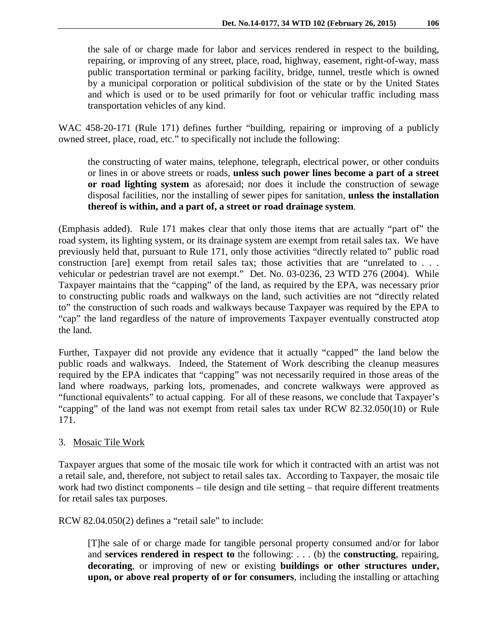the sale of or charge made for labor and services rendered in respect to the building,

repairing, or improving of any street, place, road, highway, easement, right-of-way, mass public transportation terminal or parking facility, bridge, tunnel, trestle which is owned by a municipal corporation or political subdivision of the state or by the United States and which is used or to be used primarily for foot or vehicular traffic including mass transportation vehicles of any kind.

WAC 458-20-171 (Rule 171) defines further "building, repairing or improving of a publicly owned street, place, road, etc." to specifically not include the following:

the constructing of water mains, telephone, telegraph, electrical power, or other conduits or lines in or above streets or roads, **unless such power lines become a part of a street or road lighting system** as aforesaid; nor does it include the construction of sewage disposal facilities, nor the installing of sewer pipes for sanitation, **unless the installation thereof is within, and a part of, a street or road drainage system**.

(Emphasis added). Rule 171 makes clear that only those items that are actually "part of" the road system, its lighting system, or its drainage system are exempt from retail sales tax. We have previously held that, pursuant to Rule 171, only those activities "directly related to" public road construction [are] exempt from retail sales tax; those activities that are "unrelated to . . . vehicular or pedestrian travel are not exempt." Det. No. 03-0236, 23 WTD 276 (2004). While Taxpayer maintains that the "capping" of the land, as required by the EPA, was necessary prior to constructing public roads and walkways on the land, such activities are not "directly related to" the construction of such roads and walkways because Taxpayer was required by the EPA to "cap" the land regardless of the nature of improvements Taxpayer eventually constructed atop the land.

Further, Taxpayer did not provide any evidence that it actually "capped" the land below the public roads and walkways. Indeed, the Statement of Work describing the cleanup measures required by the EPA indicates that "capping" was not necessarily required in those areas of the land where roadways, parking lots, promenades, and concrete walkways were approved as "functional equivalents" to actual capping. For all of these reasons, we conclude that Taxpayer's "capping" of the land was not exempt from retail sales tax under RCW 82.32.050(10) or Rule 171.

# 3. Mosaic Tile Work

Taxpayer argues that some of the mosaic tile work for which it contracted with an artist was not a retail sale, and, therefore, not subject to retail sales tax. According to Taxpayer, the mosaic tile work had two distinct components – tile design and tile setting – that require different treatments for retail sales tax purposes.

RCW 82.04.050(2) defines a "retail sale" to include:

[T]he sale of or charge made for tangible personal property consumed and/or for labor and **services rendered in respect to** the following: . . . (b) the **constructing**, repairing, **decorating**, or improving of new or existing **buildings or other structures under, upon, or above real property of or for consumers**, including the installing or attaching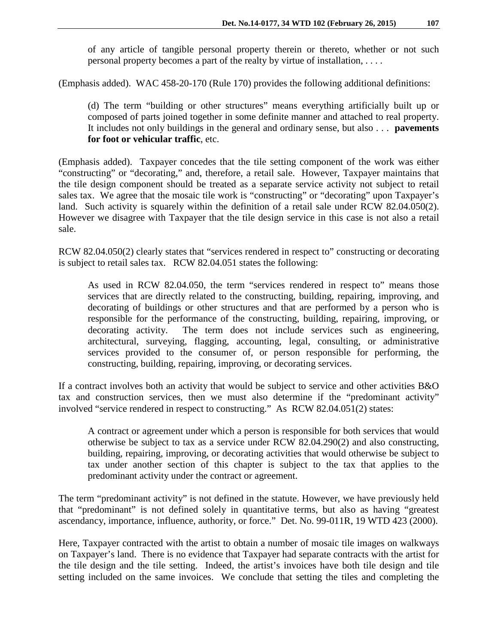of any article of tangible personal property therein or thereto, whether or not such personal property becomes a part of the realty by virtue of installation, . . . .

(Emphasis added). WAC 458-20-170 (Rule 170) provides the following additional definitions:

(d) The term "building or other structures" means everything artificially built up or composed of parts joined together in some definite manner and attached to real property. It includes not only buildings in the general and ordinary sense, but also . . . **pavements for foot or vehicular traffic**, etc.

(Emphasis added). Taxpayer concedes that the tile setting component of the work was either "constructing" or "decorating," and, therefore, a retail sale. However, Taxpayer maintains that the tile design component should be treated as a separate service activity not subject to retail sales tax. We agree that the mosaic tile work is "constructing" or "decorating" upon Taxpayer's land. Such activity is squarely within the definition of a retail sale under RCW 82.04.050(2). However we disagree with Taxpayer that the tile design service in this case is not also a retail sale.

RCW 82.04.050(2) clearly states that "services rendered in respect to" constructing or decorating is subject to retail sales tax. RCW 82.04.051 states the following:

As used in RCW 82.04.050, the term "services rendered in respect to" means those services that are directly related to the constructing, building, repairing, improving, and decorating of buildings or other structures and that are performed by a person who is responsible for the performance of the constructing, building, repairing, improving, or decorating activity. The term does not include services such as engineering, architectural, surveying, flagging, accounting, legal, consulting, or administrative services provided to the consumer of, or person responsible for performing, the constructing, building, repairing, improving, or decorating services.

If a contract involves both an activity that would be subject to service and other activities B&O tax and construction services, then we must also determine if the "predominant activity" involved "service rendered in respect to constructing." As RCW 82.04.051(2) states:

A contract or agreement under which a person is responsible for both services that would otherwise be subject to tax as a service under RCW 82.04.290(2) and also constructing, building, repairing, improving, or decorating activities that would otherwise be subject to tax under another section of this chapter is subject to the tax that applies to the predominant activity under the contract or agreement.

The term "predominant activity" is not defined in the statute. However, we have previously held that "predominant" is not defined solely in quantitative terms, but also as having "greatest ascendancy, importance, influence, authority, or force." Det. No. 99-011R, 19 WTD 423 (2000).

Here, Taxpayer contracted with the artist to obtain a number of mosaic tile images on walkways on Taxpayer's land. There is no evidence that Taxpayer had separate contracts with the artist for the tile design and the tile setting. Indeed, the artist's invoices have both tile design and tile setting included on the same invoices. We conclude that setting the tiles and completing the